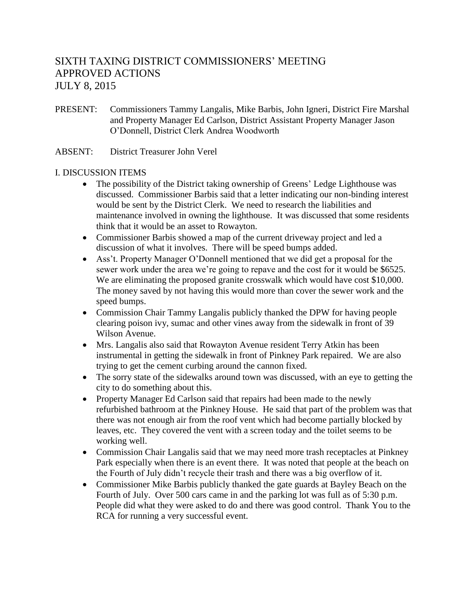# SIXTH TAXING DISTRICT COMMISSIONERS' MEETING APPROVED ACTIONS JULY 8, 2015

- PRESENT: Commissioners Tammy Langalis, Mike Barbis, John Igneri, District Fire Marshal and Property Manager Ed Carlson, District Assistant Property Manager Jason O'Donnell, District Clerk Andrea Woodworth
- ABSENT: District Treasurer John Verel

### I. DISCUSSION ITEMS

- The possibility of the District taking ownership of Greens' Ledge Lighthouse was discussed. Commissioner Barbis said that a letter indicating our non-binding interest would be sent by the District Clerk. We need to research the liabilities and maintenance involved in owning the lighthouse. It was discussed that some residents think that it would be an asset to Rowayton.
- Commissioner Barbis showed a map of the current driveway project and led a discussion of what it involves. There will be speed bumps added.
- Ass't. Property Manager O'Donnell mentioned that we did get a proposal for the sewer work under the area we're going to repave and the cost for it would be \$6525. We are eliminating the proposed granite crosswalk which would have cost \$10,000. The money saved by not having this would more than cover the sewer work and the speed bumps.
- Commission Chair Tammy Langalis publicly thanked the DPW for having people clearing poison ivy, sumac and other vines away from the sidewalk in front of 39 Wilson Avenue.
- Mrs. Langalis also said that Rowayton Avenue resident Terry Atkin has been instrumental in getting the sidewalk in front of Pinkney Park repaired. We are also trying to get the cement curbing around the cannon fixed.
- The sorry state of the sidewalks around town was discussed, with an eye to getting the city to do something about this.
- Property Manager Ed Carlson said that repairs had been made to the newly refurbished bathroom at the Pinkney House. He said that part of the problem was that there was not enough air from the roof vent which had become partially blocked by leaves, etc. They covered the vent with a screen today and the toilet seems to be working well.
- Commission Chair Langalis said that we may need more trash receptacles at Pinkney Park especially when there is an event there. It was noted that people at the beach on the Fourth of July didn't recycle their trash and there was a big overflow of it.
- Commissioner Mike Barbis publicly thanked the gate guards at Bayley Beach on the Fourth of July. Over 500 cars came in and the parking lot was full as of 5:30 p.m. People did what they were asked to do and there was good control. Thank You to the RCA for running a very successful event.